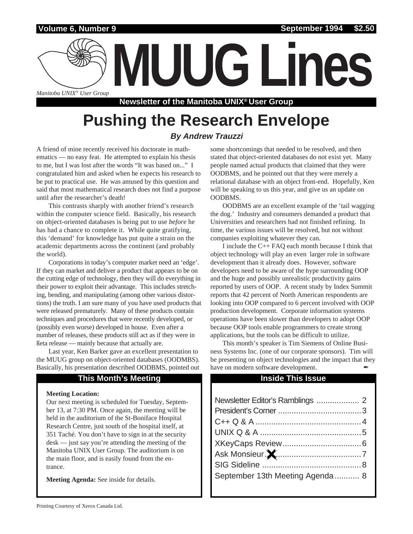### **Volume 6, Number 9**

*Manitoba UNIX® User Group*

**Newsletter of the Manitoba UNIX® User Group**

**MUUG Lines**

# **Pushing the Research Envelope**

### **By Andrew Trauzzi**

A friend of mine recently received his doctorate in mathematics — no easy feat. He attempted to explain his thesis to me, but I was lost after the words "It was based on..." I congratulated him and asked when he expects his research to be put to practical use. He was amused by this question and said that most mathematical research does not find a purpose until after the researcher's death!

This contrasts sharply with another friend's research within the computer science field. Basically, his research on object-oriented databases is being put to use *before* he has had a chance to complete it. While quite gratifying, this 'demand' for knowledge has put quite a strain on the academic departments across the continent (and probably the world).

Corporations in today's computer market need an 'edge'. If they can market and deliver a product that appears to be on the cutting edge of technology, then they will do everything in their power to exploit their advantage. This includes stretching, bending, and manipulating (among other various distortions) the truth. I am sure many of you have used products that were released prematurely. Many of these products contain techniques and procedures that were recently developed, or (possibly even worse) developed in house. Even after a number of releases, these products still act as if they were in ßeta release — mainly because that actually are.

Last year, Ken Barker gave an excellent presentation to the MUUG group on object-oriented databases (OODMBS). Basically, his presentation described OODBMS, pointed out

### **This Month's Meeting Inside This Issue**

### **Meeting Location:**

Our next meeting is scheduled for Tuesday, September 13, at 7:30 PM. Once again, the meeting will be held in the auditorium of the St-Boniface Hospital Research Centre, just south of the hospital itself, at 351 Taché. You don't have to sign in at the security desk — just say you're attending the meeting of the Manitoba UNIX User Group. The auditorium is on the main floor, and is easily found from the entrance.

**Meeting Agenda:** See inside for details.

some shortcomings that needed to be resolved, and then stated that object-oriented databases do not exist yet. Many people named actual products that claimed that they were OODBMS, and he pointed out that they were merely a relational database with an object front-end. Hopefully, Ken will be speaking to us this year, and give us an update on OODBMS.

OODBMS are an excellent example of the 'tail wagging the dog.' Industry and consumers demanded a product that Universities and researchers had not finished refining. In time, the various issues will be resolved, but not without companies exploiting whatever they can.

I include the C++ FAQ each month because I think that object technology will play an even larger role in software development than it already does. However, software developers need to be aware of the hype surrounding OOP and the huge and possibly unrealistic productivity gains reported by users of OOP. A recent study by Index Summit reports that 42 percent of North American respondents are looking into OOP compared to 6 percent involved with OOP production development. Corporate information systems operations have been slower than developers to adopt OOP because OOP tools enable programmers to create strong applications, but the tools can be difficult to utilize.

This month's speaker is Tim Siemens of Online Business Systems Inc. (one of our corporate sponsors). Tim will be presenting on object technologies and the impact that they have on modern software development.

| September 13th Meeting Agenda  8 |  |
|----------------------------------|--|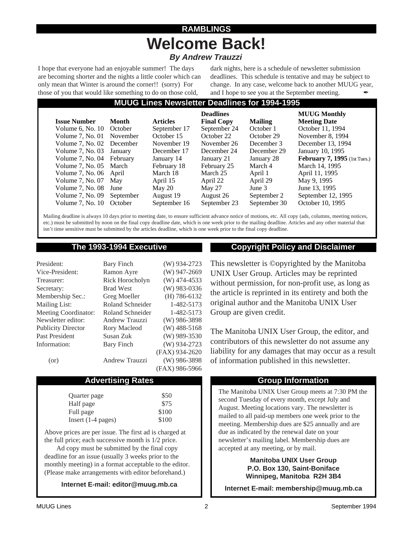### **RAMBLINGS Welcome Back! By Andrew Trauzzi**

I hope that everyone had an enjoyable summer! The days are becoming shorter and the nights a little cooler which can only mean that Winter is around the corner!! (sorry) For those of you that would like something to do on those cold,

dark nights, here is a schedule of newsletter submission deadlines. This schedule is tentative and may be subject to change. In any case, welcome back to another MUUG year, and I hope to see you at the September meeting.

### **MUUG Lines Newsletter Deadlines for 1994-1995**

|                           |              |                 | <b>Deadlines</b>  |                | <b>MUUG Monthly</b>                 |
|---------------------------|--------------|-----------------|-------------------|----------------|-------------------------------------|
| <b>Issue Number</b>       | <b>Month</b> | <b>Articles</b> | <b>Final Copy</b> | <b>Mailing</b> | <b>Meeting Date</b>                 |
| Volume $6$ , No. $10$     | October      | September 17    | September 24      | October 1      | October 11, 1994                    |
| Volume $7$ , No. 01       | November     | October 15      | October 22        | October 29     | November 8, 1994                    |
| Volume 7, No. 02 December |              | November 19     | November 26       | December 3     | December 13, 1994                   |
| Volume $7.$ No. 03        | January      | December 17     | December 24       | December 29    | January 10, 1995                    |
| Volume 7, No. 04 February |              | January 14      | January 21        | January 28     | <b>February 7, 1995</b> (1st Tues.) |
| Volume 7, No. 05 March    |              | February 18     | February 25       | March 4        | March 14, 1995                      |
| Volume 7, No. 06 April    |              | March 18        | March 25          | April 1        | April 11, 1995                      |
| Volume $7$ , No. 07       | May          | April 15        | April 22          | April 29       | May 9, 1995                         |
| Volume $7.$ No. 08        | June         | May 20          | May 27            | June 3         | June 13, 1995                       |
| Volume $7$ , No. 09       | September    | August 19       | August 26         | September 2    | September 12, 1995                  |
| Volume $7.$ No. $10$      | October      | September 16    | September 23      | September 30   | October 10, 1995                    |

Mailing deadline is always 10 days prior to meeting date, to ensure sufficient advance notice of motions, etc. All copy (ads, columns, meeting notices, etc.) must be submitted by noon on the final copy deadline date, which is one week prior to the mailing deadline. Articles and any other material that isn't time sensitive must be submitted by the articles deadline, which is one week prior to the final copy deadline.

| President:                  | <b>Bary Finch</b>     | $(W)$ 934-2723 |
|-----------------------------|-----------------------|----------------|
| Vice-President:             | Ramon Ayre            | $(W)$ 947-2669 |
| Treasurer:                  | Rick Horocholyn       | $(W)$ 474-4533 |
| Secretary:                  | <b>Brad West</b>      | $(W)$ 983-0336 |
| Membership Sec.:            | Greg Moeller          | $(H)$ 786-6132 |
| <b>Mailing List:</b>        | Roland Schneider      | 1-482-5173     |
| <b>Meeting Coordinator:</b> | Roland Schneider      | 1-482-5173     |
| Newsletter editor:          | Andrew Trauzzi        | $(W)$ 986-3898 |
| <b>Publicity Director</b>   | Rory Macleod          | $(W)$ 488-5168 |
| Past President              | Susan Zuk             | $(W)$ 989-3530 |
| Information:                | Bary Finch            | (W) 934-2723   |
|                             |                       | (FAX) 934-2620 |
| (or)                        | <b>Andrew Trauzzi</b> | $(W)$ 986-3898 |
|                             |                       | (FAX) 986-5966 |

### Advertising Rates **Group Information**

| Quarter page         | \$50  |
|----------------------|-------|
| Half page            | \$75  |
| Full page            | \$100 |
| Insert $(1-4$ pages) | \$100 |

Above prices are per issue. The first ad is charged at the full price; each successive month is 1/2 price.

Ad copy must be submitted by the final copy deadline for an issue (usually 3 weeks prior to the monthly meeting) in a format acceptable to the editor. (Please make arrangements with editor beforehand.)

**Internet E-mail: editor@muug.mb.ca**

### **The 1993-1994 Executive Copyright Policy and Disclaimer**

This newsletter is ©opyrighted by the Manitoba UNIX User Group. Articles may be reprinted without permission, for non-profit use, as long as the article is reprinted in its entirety and both the original author and the Manitoba UNIX User Group are given credit.

The Manitoba UNIX User Group, the editor, and contributors of this newsletter do not assume any liability for any damages that may occur as a result of information published in this newsletter.

The Manitoba UNIX User Group meets at 7:30 PM the second Tuesday of every month, except July and August. Meeting locations vary. The newsletter is mailed to all paid-up members one week prior to the meeting. Membership dues are \$25 annually and are due as indicated by the renewal date on your newsletter's mailing label. Membership dues are accepted at any meeting, or by mail.

> **Manitoba UNIX User Group P.O. Box 130, Saint-Boniface Winnipeg, Manitoba R2H 3B4**

**Internet E-mail: membership@muug.mb.ca**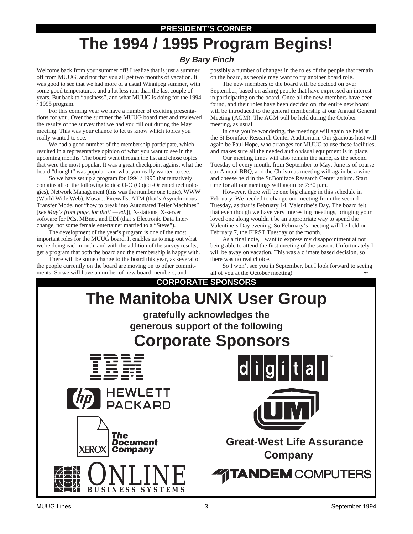### **PRESIDENT'S CORNER**

# **The 1994 / 1995 Program Begins!**

### **By Bary Finch**

Welcome back from your summer off! I realize that is just a summer off from MUUG, and not that you all get two months of vacation. It was good to see that we had more of a usual Winnipeg summer, with some good temperatures, and a lot less rain than the last couple of years. But back to "business", and what MUUG is doing for the 1994 / 1995 program.

For this coming year we have a number of exciting presentations for you. Over the summer the MUUG board met and reviewed the results of the survey that we had you fill out during the May meeting. This was your chance to let us know which topics you really wanted to see.

We had a good number of the membership participate, which resulted in a representative opinion of what you want to see in the upcoming months. The board went through the list and chose topics that were the most popular. It was a great checkpoint against what the board "thought" was popular, and what you really wanted to see.

So we have set up a program for 1994 / 1995 that tentatively contains all of the following topics: O-O (Object-Oriented technologies), Network Management (this was the number one topic), WWW (World Wide Web), Mosaic, Firewalls, ATM (that's Asynchronous Transfer Mode, not "how to break into Automated Teller Machines" [*see May's front page, for that! — ed.*]), X-stations, X-server software for PCs, MBnet, and EDI (that's Electronic Data Interchange, not some female entertainer married to a "Steve").

The development of the year's program is one of the most important roles for the MUUG board. It enables us to map out what we're doing each month, and with the addition of the survey results, get a program that both the board and the membership is happy with.

There will be some change to the board this year, as several of the people currently on the board are moving on to other commitments. So we will have a number of new board members, and

possibly a number of changes in the roles of the people that remain on the board, as people may want to try another board role.

The new members to the board will be decided on over September, based on asking people that have expressed an interest in participating on the board. Once all the new members have been found, and their roles have been decided on, the entire new board will be introduced to the general membership at our Annual General Meeting (AGM). The AGM will be held during the October meeting, as usual.

In case you're wondering, the meetings will again be held at the St.Boniface Research Center Auditorium. Our gracious host will again be Paul Hope, who arranges for MUUG to use these facilities, and makes sure all the needed audio visual equipment is in place.

Our meeting times will also remain the same, as the second Tuesday of every month, from September to May. June is of course our Annual BBQ, and the Christmas meeting will again be a wine and cheese held in the St.Boniface Research Center atrium. Start time for all our meetings will again be 7:30 p.m.

However, there will be one big change in this schedule in February. We needed to change our meeting from the second Tuesday, as that is February 14, Valentine's Day. The board felt that even though we have very interesting meetings, bringing your loved one along wouldn't be an appropriate way to spend the Valentine's Day evening. So February's meeting will be held on February 7, the FIRST Tuesday of the month.

As a final note, I want to express my disappointment at not being able to attend the first meeting of the season. Unfortunately I will be away on vacation. This was a climate based decision, so there was no real choice.

So I won't see you in September, but I look forward to seeing all of you at the October meeting!

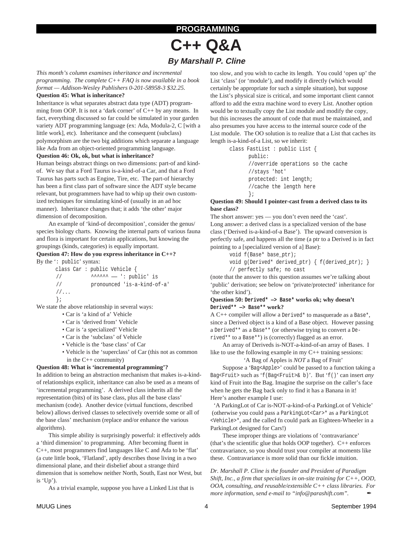### **PROGRAMMING**

## **C++ Q&A By Marshall P. Cline**

*This month's column examines inheritance and incremental programming. The complete C++ FAQ is now available in a book format — Addison-Wesley Publishers 0-201-58958-3 \$32.25.*

### **Question 45: What is inheritance?**

Inheritance is what separates abstract data type (ADT) programming from OOP. It is not a 'dark corner' of C++ by any means. In fact, everything discussed so far could be simulated in your garden variety ADT programming language (ex: Ada, Modula-2, C [with a little work], etc). Inheritance and the consequent (subclass) polymorphism are the two big additions which separate a language like Ada from an object-oriented programming language.

### **Question 46: Ok, ok, but what is inheritance?**

Human beings abstract things on two dimensions: part-of and kindof. We say that a Ford Taurus is-a-kind-of-a Car, and that a Ford Taurus has parts such as Engine, Tire, etc. The part-of hierarchy has been a first class part of software since the ADT style became relevant, but programmers have had to whip up their own customized techniques for simulating kind-of (usually in an ad hoc manner). Inheritance changes that; it adds 'the other' major dimension of decomposition.

An example of 'kind-of decomposition', consider the genus/ species biology charts. Knowing the internal parts of various fauna and flora is important for certain applications, but knowing the groupings (kinds, categories) is equally important.

### **Question 47: How do you express inheritance in C++?** By the ': public' syntax:

|                     |  | class $Car : public Vehicle {\n$ |
|---------------------|--|----------------------------------|
| $\frac{1}{2}$       |  |                                  |
| $\frac{1}{2}$       |  | pronounced 'is-a-kind-of-a'      |
| $1/\ldots$          |  |                                  |
| $\vert \cdot \vert$ |  |                                  |

We state the above relationship in several ways:

- Car is 'a kind of a' Vehicle
- Car is 'derived from' Vehicle
- Car is 'a specialized' Vehicle
- Car is the 'subclass' of Vehicle
- Vehicle is the 'base class' of Car
- Vehicle is the 'superclass' of Car (this not as common in the C++ community)

### **Question 48: What is 'incremental programming'?**

In addition to being an abstraction mechanism that makes is-a-kindof relationships explicit, inheritance can also be used as a means of 'incremental programming'. A derived class inherits all the representation (bits) of its base class, plus all the base class' mechanism (code). Another device (virtual functions, described below) allows derived classes to selectively override some or all of the base class' mechanism (replace and/or enhance the various algorithms).

This simple ability is surprisingly powerful: it effectively adds a 'third dimension' to programming. After becoming fluent in C++, most programmers find languages like C and Ada to be 'flat' (a cute little book, 'Flatland', aptly describes those living in a two dimensional plane, and their disbelief about a strange third dimension that is somehow neither North, South, East nor West, but is 'Up').

As a trivial example, suppose you have a Linked List that is

too slow, and you wish to cache its length. You could 'open up' the List 'class' (or 'module'), and modify it directly (which would certainly be appropriate for such a simple situation), but suppose the List's physical size is critical, and some important client cannot afford to add the extra machine word to every List. Another option would be to textually copy the List module and modify the copy, but this increases the amount of code that must be maintained, and also presumes you have access to the internal source code of the List module. The OO solution is to realize that a List that caches its length is-a-kind-of-a List, so we inherit:

> class FastList : public List { public: //override operations so the cache //stays 'hot' protected: int length; //cache the length here };

### **Question 49: Should I pointer-cast from a derived class to its base class?**

The short answer: yes — you don't even need the 'cast'. Long answer: a derived class is a specialized version of the base class ('Derived is-a-kind-of-a Base'). The upward conversion is perfectly safe, and happens all the time (a ptr to a Derived is in fact pointing to a [specialized version of a] Base):

```
void f(Base* base_ptr);
void g(Derived* derived_ptr) { f(derived_ptr); }
// perfectly safe; no cast
```
(note that the answer to this question assumes we're talking about 'public' derivation; see below on 'private/protected' inheritance for 'the other kind').

### **Question 50: Derived\* —> Base\* works ok; why doesn't Derived\*\* —> Base\*\* work?**

A C++ compiler will allow a Derived\* to masquerade as a Base\*, since a Derived object is a kind of a Base object. However passing a Derived\*\* as a Base\*\* (or otherwise trying to convert a Derived\*\* to a Base\*\*) is (correctly) flagged as an error.

An array of Deriveds is-NOT-a-kind-of-an array of Bases. I like to use the following example in my C++ training sessions:

#### 'A Bag of Apples is *NOT* a Bag of Fruit'

Suppose a 'Bag<Apple>' could be passed to a function taking a Bag<Fruit> such as 'f(Bag<Fruit>& b)'. But 'f()' can insert *any* kind of Fruit into the Bag. Imagine the surprise on the caller's face when he gets the Bag back only to find it has a Banana in it! Here's another example I use:

'A ParkingLot of Car is-NOT-a-kind-of-a ParkingLot of Vehicle' (otherwise you could pass a ParkingLot<Car>\* as a ParkingLot <Vehicle>\*, and the called fn could park an Eighteen-Wheeler in a ParkingLot designed for Cars!)

These improper things are violations of 'contravariance' (that's the scientific glue that holds OOP together). C++ enforces contravariance, so you should trust your compiler at moments like these. Contravariance is more solid than our fickle intuition.

*Dr. Marshall P. Cline is the founder and President of Paradigm Shift, Inc., a firm that specializes in on-site training for C++, OOD, OOA, consulting, and reusable/extensible C++ class libraries. For more information, send e-mail to "info@parashift.com".*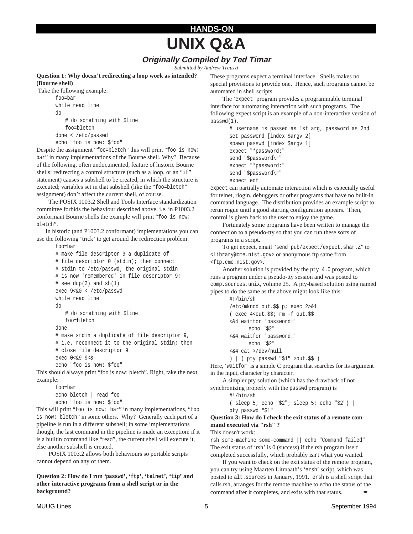## **HANDS-ON UNIX Q&A**

### **Originally Compiled by Ted Timar**

*Submitted by Andrew Trauzzi*

**Question 1: Why doesn't redirecting a loop work as intended? (Bourne shell)**

```
 Take the following example:
```

```
foo=bar
while read line
do
   # do something with $line
   foo=bletch
done < /etc/passwd
echo "foo is now: $foo"
```
Despite the assignment "foo=bletch" this will print "foo is now: bar" in many implementations of the Bourne shell. Why? Because of the following, often undocumented, feature of historic Bourne shells: redirecting a control structure (such as a loop, or an "if" statement) causes a subshell to be created, in which the structure is executed; variables set in that subshell (like the "foo=bletch" assignment) don't affect the current shell, of course.

The POSIX 1003.2 Shell and Tools Interface standardization committee forbids the behaviour described above, i.e. in P1003.2 conformant Bourne shells the example will print "foo is now: bletch".

 In historic (and P1003.2 conformant) implementations you can use the following 'trick' to get around the redirection problem:

```
foo=bar
# make file descriptor 9 a duplicate of
# file descriptor 0 (stdin); then connect
# stdin to /etc/passwd; the original stdin
# is now 'remembered' in file descriptor 9;
# see dup(2) and sh(1)exec 9<&0 < /etc/passwd
while read line
do
   # do something with $line
   foo=bletch
done
# make stdin a duplicate of file descriptor 9,
# i.e. reconnect it to the original stdin; then
# close file descriptor 9
exec 0<&9 9<&-
echo "foo is now: $foo"
```
This should always print "foo is now: bletch". Right, take the next example:

```
foo=bar
echo bletch | read foo
echo "foo is now: $foo"
```
This will print "foo is now: bar" in many implementations, "foo is now: bletch" in some others. Why? Generally each part of a pipeline is run in a different subshell; in some implementations though, the last command in the pipeline is made an exception: if it is a builtin command like "read", the current shell will execute it, else another subshell is created.

POSIX 1003.2 allows both behaviours so portable scripts cannot depend on any of them.

**Question 2: How do I run 'passwd', 'ftp', 'telnet', 'tip' and other interactive programs from a shell script or in the background?**

These programs expect a terminal interface. Shells makes no special provisions to provide one. Hence, such programs cannot be automated in shell scripts.

The 'expect' program provides a programmable terminal interface for automating interaction with such programs. The following expect script is an example of a non-interactive version of passwd(1).

```
# username is passed as 1st arg, password as 2nd
set password [index $argv 2]
spawn passwd [index $argv 1]
expect "*password:"
send "$password\r"
expect "*password:"
send "$password\r"
expect eof
```
expect can partially automate interaction which is especially useful for telnet, rlogin, debuggers or other programs that have no built-in command language. The distribution provides an example script to rerun rogue until a good starting configuration appears. Then, control is given back to the user to enjoy the game.

Fortunately some programs have been written to manage the connection to a pseudo-tty so that you can run these sorts of programs in a script.

To get expect, email "send pub/expect/expect.shar.Z" to <library@cme.nist.gov> or anonymous ftp same from <ftp.cme.nist.gov>.

Another solution is provided by the pty 4.0 program, which runs a program under a pseudo-tty session and was posted to comp.sources.unix, volume 25. A pty-based solution using named pipes to do the same as the above might look like this:

```
#!/bin/sh
/etc/mknod out.$$ p; exec 2>&1
( exec 4<out.$$; rm -f out.$$
<&4 waitfor 'password:'
      echo "$2"
<&4 waitfor 'password:'
      echo "$2"
<&4 cat >/dev/null
) | ( pty passwd "$1" >out.$$ )
```
Here, 'waitfor' is a simple C program that searches for its argument in the input, character by character.

A simpler pty solution (which has the drawback of not synchronizing properly with the passwd program) is

#!/bin/sh

```
( sleep 5; echo "$2"; sleep 5; echo "$2") |
pty passwd "$1"
```
**Question 3: How do I check the exit status of a remote command executed via "rsh" ?**

This doesn't work:

rsh some-machine some-command || echo "Command failed" The exit status of 'rsh' is 0 (success) if the rsh program itself completed successfully, which probably isn't what you wanted.

If you want to check on the exit status of the remote program, you can try using Maarten Litmaath's 'ersh' script, which was posted to alt.sources in January, 1991. ersh is a shell script that calls rsh, arranges for the remote machine to echo the status of the command after it completes, and exits with that status.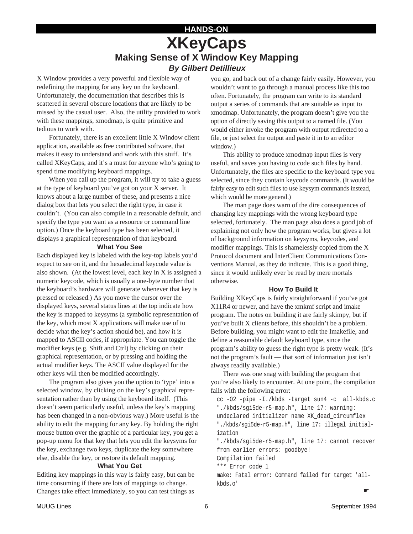### **HANDS-ON XKeyCaps Making Sense of X Window Key Mapping By Gilbert Detillieux**

X Window provides a very powerful and flexible way of redefining the mapping for any key on the keyboard. Unfortunately, the documentation that describes this is scattered in several obscure locations that are likely to be missed by the casual user. Also, the utility provided to work with these mappings, xmodmap, is quite primitive and tedious to work with.

Fortunately, there is an excellent little X Window client application, available as free contributed software, that makes it easy to understand and work with this stuff. It's called XKeyCaps, and it's a must for anyone who's going to spend time modifying keyboard mappings.

When you call up the program, it will try to take a guess at the type of keyboard you've got on your X server. It knows about a large number of these, and presents a nice dialog box that lets you select the right type, in case it couldn't. (You can also compile in a reasonable default, and specify the type you want as a resource or command line option.) Once the keyboard type has been selected, it displays a graphical representation of that keyboard.

### **What You See**

Each displayed key is labeled with the key-top labels you'd expect to see on it, and the hexadecimal keycode value is also shown. (At the lowest level, each key in X is assigned a numeric keycode, which is usually a one-byte number that the keyboard's hardware will generate whenever that key is pressed or released.) As you move the cursor over the displayed keys, several status lines at the top indicate how the key is mapped to keysyms (a symbolic representation of the key, which most X applications will make use of to decide what the key's action should be), and how it is mapped to ASCII codes, if appropriate. You can toggle the modifier keys (e.g. Shift and Ctrl) by clicking on their graphical representation, or by pressing and holding the actual modifier keys. The ASCII value displayed for the other keys will then be modified accordingly.

The program also gives you the option to 'type' into a selected window, by clicking on the key's graphical representation rather than by using the keyboard itself. (This doesn't seem particularly useful, unless the key's mapping has been changed in a non-obvious way.) More useful is the ability to edit the mapping for any key. By holding the right mouse button over the graphic of a particular key, you get a pop-up menu for that key that lets you edit the keysyms for the key, exchange two keys, duplicate the key somewhere else, disable the key, or restore its default mapping.

### **What You Get**

Editing key mappings in this way is fairly easy, but can be time consuming if there are lots of mappings to change. Changes take effect immediately, so you can test things as

you go, and back out of a change fairly easily. However, you wouldn't want to go through a manual process like this too often. Fortunately, the program can write to its standard output a series of commands that are suitable as input to xmodmap. Unfortunately, the program doesn't give you the option of directly saving this output to a named file. (You would either invoke the program with output redirected to a file, or just select the output and paste it in to an editor window.)

This ability to produce xmodmap input files is very useful, and saves you having to code such files by hand. Unfortunately, the files are specific to the keyboard type you selected, since they contain keycode commands. (It would be fairly easy to edit such files to use keysym commands instead, which would be more general.)

The man page does warn of the dire consequences of changing key mappings with the wrong keyboard type selected, fortunately. The man page also does a good job of explaining not only how the program works, but gives a lot of background information on keysyms, keycodes, and modifier mappings. This is shamelessly copied from the X Protocol document and InterClient Communications Conventions Manual, as they do indicate. This is a good thing, since it would unlikely ever be read by mere mortals otherwise.

### **How To Build It**

Building XKeyCaps is fairly straightforward if you've got X11R4 or newer, and have the xmkmf script and imake program. The notes on building it are fairly skimpy, but if you've built X clients before, this shouldn't be a problem. Before building, you might want to edit the Imakefile, and define a reasonable default keyboard type, since the program's ability to guess the right type is pretty weak. (It's not the program's fault — that sort of information just isn't always readily available.)

There was one snag with building the program that you're also likely to encounter. At one point, the compilation fails with the following error:

cc -O2 -pipe -I./kbds -target sun4 -c all-kbds.c "./kbds/sgi5de-r5-map.h", line 17: warning: undeclared initializer name XK\_dead\_circumflex "./kbds/sgi5de-r5-map.h", line 17: illegal initialization

"./kbds/sgi5de-r5-map.h", line 17: cannot recover from earlier errors: goodbye!

Compilation failed

\*\*\* Error code 1

make: Fatal error: Command failed for target 'allkbds.o'

☛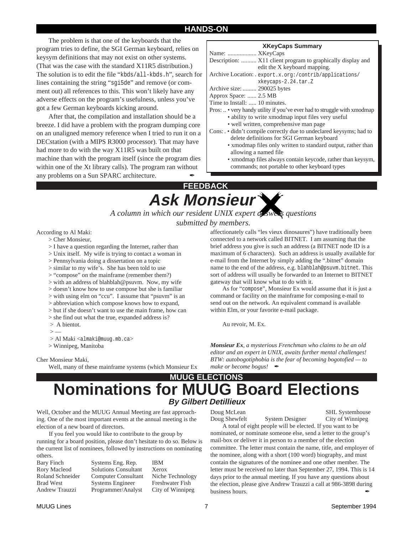### **HANDS-ON**

The problem is that one of the keyboards that the program tries to define, the SGI German keyboard, relies on keysym definitions that may not exist on other systems. (That was the case with the standard X11R5 distribution.) The solution is to edit the file "kbds/all-kbds.h", search for lines containing the string "sgi5de" and remove (or comment out) all references to this. This won't likely have any adverse effects on the program's usefulness, unless you've got a few German keyboards kicking around.

After that, the compilation and installation should be a breeze. I did have a problem with the program dumping core on an unaligned memory reference when I tried to run it on a DECstation (with a MIPS R3000 processor). That may have had more to do with the way X11R5 was built on that machine than with the program itself (since the program dies within one of the Xt library calls). The program ran without any problems on a Sun SPARC architecture.

### **XKeyCaps Summary**

| Name:  XKeyCaps                                                         |
|-------------------------------------------------------------------------|
| Description:  X11 client program to graphically display and             |
| edit the X keyboard mapping.                                            |
| Archive Location: export.x.org:/contrib/applications/                   |
| xkeycaps-2.24.tar.Z                                                     |
| Archive size:  290025 bytes                                             |
| Approx Space:  2.5 MB                                                   |
| Time to Install:  10 minutes.                                           |
| Pros:  • very handy utility if you've ever had to struggle with xmodmap |
| · ability to write xmodmap input files very useful                      |
| • well written, comprehensive man page                                  |
| Cons: . • didn't compile correctly due to undeclared keysyms; had to    |
| delete definitions for SGI German keyboard                              |
| • xmodmap files only written to standard output, rather than            |
| allowing a named file.                                                  |
|                                                                         |

• xmodmap files always contain keycode, rather than keysym, commands; not portable to other keyboard types

### **FEEDBACK**

**Ask Monsieur** *A column in which our resident UNIX expert answers questions submitted by members.*

### According to Al Maki:

- > Cher Monsieur,
- > I have a question regarding the Internet, rather than
- > Unix itself. My wife is trying to contact a woman in
- > Pennsylvania doing a dissertation on a topic
- > similar to my wife's. She has been told to use
- > "compose" on the mainframe (remember them?)
- > with an address of blahblah@psuvm. Now, my wife
- > doesn't know how to use compose but she is familiar
- > with using elm on "ccu". I assume that "psuvm" is an
- > abbreviation which compose knows how to expand,
- > but if she doesn't want to use the main frame, how can
- > she find out what the true, expanded address is?
- > A bientot.
- $>$  —
- > Al Maki <almaki@muug.mb.ca>

> Winnipeg, Manitoba

#### Cher Monsieur Maki,

Well, many of these mainframe systems (which Monsieur Ex

affectionately calls "les vieux dinosaures") have traditionally been connected to a network called BITNET. I am assuming that the brief address you give is such an address (a BITNET node ID is a maximum of 6 characters). Such an address is usually available for e-mail from the Internet by simply adding the ".bitnet" domain name to the end of the address, e.g. blahblah@psuvm.bitnet. This sort of address will usually be forwarded to an Internet to BITNET gateway that will know what to do with it.

As for "compose", Monsieur Ex would assume that it is just a command or facility on the mainframe for composing e-mail to send out on the network. An equivalent command is available within Elm, or your favorite e-mail package.

Au revoir, M. Ex.

*Monsieur Ex, a mysterious Frenchman who claims to be an old editor and an expert in UNIX, awaits further mental challenges! BTW: autobogotiphobia is the fear of becoming bogotofied — to make or become bogus!* 

### **Nominations for MUUG Board Elections By Gilbert Detillieux MUUG ELECTIONS**

Well, October and the MUUG Annual Meeting are fast approaching. One of the most important events at the annual meeting is the election of a new board of directors.

If you feel you would like to contribute to the group by running for a board position, please don't hesitate to do so. Below is the current list of nominees, followed by instructions on nominating others.

Bary Finch Systems Eng. Rep. IBM

Rory Macleod Solutions Consultant Xerox Roland Schneider Computer Consultant Niche Technology Brad West Systems Engineer Freshwater Fish Andrew Trauzzi Programmer/Analyst City of Winnipeg

Doug McLean SHL Systemhouse Doug Shewfelt System Designer City of Winnipeg

A total of eight people will be elected. If you want to be nominated, or nominate someone else, send a letter to the group's mail-box or deliver it in person to a member of the election committee. The letter must contain the name, title, and employer of the nominee, along with a short (100 word) biography, and must contain the signatures of the nominee and one other member. The letter must be received no later than September 27, 1994. This is 14 days prior to the annual meeting. If you have any questions about the election, please give Andrew Trauzzi a call at 986-3898 during business hours.